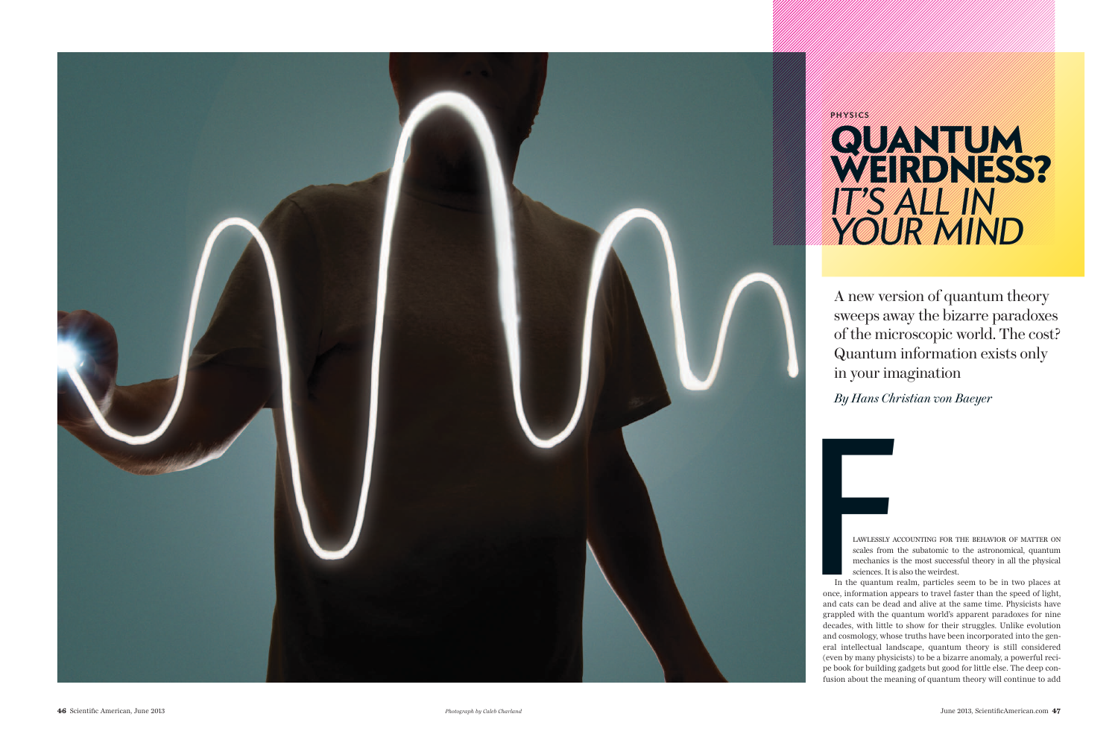A new version of quantum theory sweeps away the bizarre paradoxes of the microscopic world. The cost? Quantum information exists only in your imagination

*By Hans Christian von Baeyer*

LAWLESSLY ACCOUNTING FOR THE BEHAVIOR OF MATTER ON scales from the subatomic to the astronomical, quantum mechanics is the most successful theory in all the physical sciences. It is also the weirdest. In the quantum realm, scales from the subatomic to the astronomical, quantum mechanics is the most successful theory in all the physical sciences. It is also the weirdest.



# QUATUM WEIRDNESS? *It's all in your m ind*  **Physics**

In the quantum realm, particles seem to be in two places at once, information appears to travel faster than the speed of light, and cats can be dead and alive at the same time. Physicists have grappled with the quantum world's apparent paradoxes for nine decades, with little to show for their struggles. Unlike evolution and cosmology, whose truths have been incorporated into the gen eral intellectual landscape, quantum theory is still considered (even by many physicists) to be a bizarre anomaly, a powerful reci pe book for building gadgets but good for little else. The deep con fusion about the meaning of quantum theory will continue to add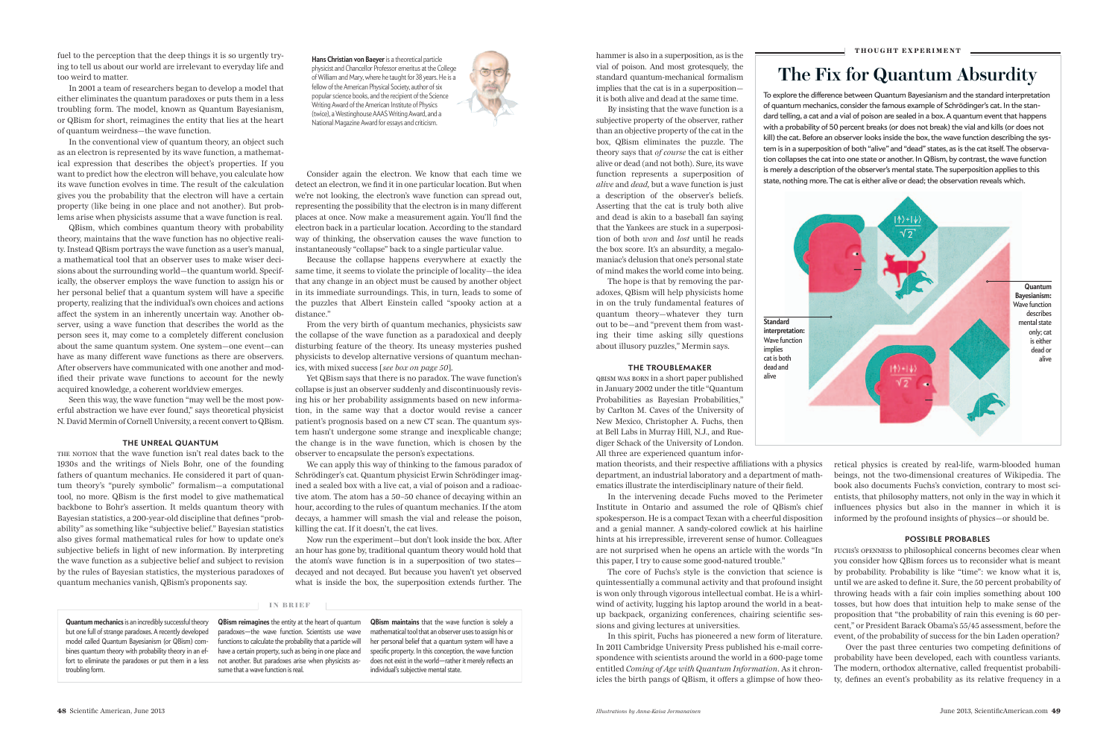fuel to the perception that the deep things it is so urgently trying to tell us about our world are irrelevant to everyday life and too weird to matter.

In 2001 a team of researchers began to develop a model that either eliminates the quantum paradoxes or puts them in a less troubling form. The model, known as Quantum Bayesianism, or QBism for short, reimagines the entity that lies at the heart of quantum weirdness—the wave function.

In the conventional view of quantum theory, an object such as an electron is represented by its wave function, a mathematical expression that describes the object's properties. If you want to predict how the electron will behave, you calculate how its wave function evolves in time. The result of the calculation gives you the probability that the electron will have a certain property (like being in one place and not another). But problems arise when physicists assume that a wave function is real.

QBism, which combines quantum theory with probability theory, maintains that the wave function has no objective reality. Instead QBism portrays the wave function as a user's manual, a mathematical tool that an observer uses to make wiser decisions about the surrounding world—the quantum world. Specifically, the observer employs the wave function to assign his or her personal belief that a quantum system will have a specific property, realizing that the individual's own choices and actions affect the system in an inherently uncertain way. Another observer, using a wave function that describes the world as the person sees it, may come to a completely different conclusion about the same quantum system. One system—one event—can have as many different wave functions as there are observers. After observers have communicated with one another and modified their private wave functions to account for the newly acquired knowledge, a coherent worldview emerges.

THE NOTION that the wave function isn't real dates back to the 1930s and the writings of Niels Bohr, one of the founding fathers of quantum mechanics. He considered it part of quantum theory's "purely symbolic" formalism—a computational tool, no more. QBism is the first model to give mathematical backbone to Bohr's assertion. It melds quantum theory with Bayesian statistics, a 200-year-old discipline that defines "probability" as something like "subjective belief." Bayesian statistics also gives formal mathematical rules for how to update one's subjective beliefs in light of new information. By interpreting the wave function as a subjective belief and subject to revision by the rules of Bayesian statistics, the mysterious paradoxes of quantum mechanics vanish, QBism's proponents say.

Seen this way, the wave function "may well be the most powerful abstraction we have ever found," says theoretical physicist N. David Mermin of Cornell University, a recent convert to QBism.

### **THE UNREAL QUANTUM**

Consider again the electron. We know that each time we detect an electron, we find it in one particular location. But when we're not looking, the electron's wave function can spread out, representing the possibility that the electron is in many different places at once. Now make a measurement again. You'll find the electron back in a particular location. According to the standard way of thinking, the observation causes the wave function to instantaneously "collapse" back to a single particular value.

Because the collapse happens everywhere at exactly the same time, it seems to violate the principle of locality—the idea that any change in an object must be caused by another object in its immediate surroundings. This, in turn, leads to some of the puzzles that Albert Einstein called "spooky action at a distance."

From the very birth of quantum mechanics, physicists saw the collapse of the wave function as a paradoxical and deeply disturbing feature of the theory. Its uneasy mysteries pushed physicists to develop alternative versions of quantum mechanics, with mixed success [*see box on page 50*]*.*

Yet QBism says that there is no paradox. The wave function's collapse is just an observer suddenly and discontinuously revising his or her probability assignments based on new information, in the same way that a doctor would revise a cancer patient's prognosis based on a new CT scan. The quantum system hasn't undergone some strange and inexplicable change; the change is in the wave function, which is chosen by the observer to encapsulate the person's expectations.

We can apply this way of thinking to the famous paradox of Schrödinger's cat. Quantum physicist Erwin Schrödinger imagined a sealed box with a live cat, a vial of poison and a radioactive atom. The atom has a 50–50 chance of decaying within an hour, according to the rules of quantum mechanics. If the atom decays, a hammer will smash the vial and release the poison, killing the cat. If it doesn't, the cat lives.

Now run the experiment—but don't look inside the box. After an hour has gone by, traditional quantum theory would hold that the atom's wave function is in a superposition of two states decayed and not decayed. But because you haven't yet observed what is inside the box, the superposition extends further. The

hammer is also in a superposition, as is the vial of poison. And most grotesquely, the standard quantum-mechanical formalism implies that the cat is in a superposition it is both alive and dead at the same time.

By insisting that the wave function is a subjective property of the observer, rather than an objective property of the cat in the box, QBism eliminates the puzzle. The theory says that *of course* the cat is either alive or dead (and not both). Sure, its wave function represents a superposition of *alive* and *dead,* but a wave function is just a description of the observer's beliefs. Asserting that the cat is truly both alive and dead is akin to a baseball fan saying that the Yankees are stuck in a superposition of both *won* and *lost* until he reads the box score. It's an absurdity, a megalomaniac's delusion that one's personal state of mind makes the world come into being.

The hope is that by removing the paradoxes, QBism will help physicists home in on the truly fundamental features of quantum theory—whatever they turn out to be—and "prevent them from wasting their time asking silly questions about illusory puzzles," Mermin says.

### **THE TROUBLEMAKER**

QBism was born in a short paper published in January 2002 under the title "Quantum Probabilities as Bayesian Probabilities," by Carlton M. Caves of the University of New Mexico, Christopher A. Fuchs, then at Bell Labs in Murray Hill, N.J., and Ruediger Schack of the University of London. All three are experienced quantum infor-

mation theorists, and their respective affiliations with a physics department, an industrial laboratory and a department of mathematics illustrate the interdisciplinary nature of their field.

In the intervening decade Fuchs moved to the Perimeter Institute in Ontario and assumed the role of QBism's chief spokesperson. He is a compact Texan with a cheerful disposition and a genial manner. A sandy-colored cowlick at his hairline hints at his irrepressible, irreverent sense of humor. Colleagues are not surprised when he opens an article with the words "In this paper, I try to cause some good-natured trouble."

The core of Fuchs's style is the conviction that science is quintessentially a communal activity and that profound insight is won only through vigorous intellectual combat. He is a whirlwind of activity, lugging his laptop around the world in a beatup backpack, organizing conferences, chairing scientific sessions and giving lectures at universities.

In this spirit, Fuchs has pioneered a new form of literature. In 2011 Cambridge University Press published his e-mail correspondence with scientists around the world in a 600-page tome entitled *Coming of Age with Quantum Information.* As it chronicles the birth pangs of QBism, it offers a glimpse of how theo-

retical physics is created by real-life, warm-blooded human beings, not the two-dimensional creatures of Wikipedia. The book also documents Fuchs's conviction, contrary to most scientists, that philosophy matters, not only in the way in which it influences physics but also in the manner in which it is informed by the profound insights of physics—or should be.

### **POSSIBLE PROBABLES**

Fuchs's openness to philosophical concerns becomes clear when you consider how QBism forces us to reconsider what is meant by probability. Probability is like "time": we know what it is, until we are asked to define it. Sure, the 50 percent probability of throwing heads with a fair coin implies something about 100 tosses, but how does that intuition help to make sense of the proposition that "the probability of rain this evening is 60 percent," or President Barack Obama's 55/45 assessment, before the event, of the probability of success for the bin Laden operation? Over the past three centuries two competing definitions of probability have been developed, each with countless variants. The modern, orthodox alternative, called frequentist probability, defines an event's probability as its relative frequency in a

## The Fix for Quantum Absurdity

To explore the difference between Quantum Bayesianism and the standard interpretation of quantum mechanics, consider the famous example of Schrödinger's cat. In the standard telling, a cat and a vial of poison are sealed in a box. A quantum event that happens with a probability of 50 percent breaks (or does not break) the vial and kills (or does not kill) the cat. Before an observer looks inside the box, the wave function describing the system is in a superposition of both "alive" and "dead" states, as is the cat itself. The observation collapses the cat into one state or another. In QBism, by contrast, the wave function is merely a description of the observer's mental state. The superposition applies to this state, nothing more. The cat is either alive or dead; the observation reveals which.

**Hans Christian von Baeyer** is a theoretical particle physicist and Chancellor Professor emeritus at the College of William and Mary, where he taught for 38 years. He is a fellow of the American Physical Society, author of six popular science books, and the recipient of the Science Writing Award of the American Institute of Physics (twice), a Westinghouse AAAS Writing Award, and a National Magazine Award for essays and criticism.



### **in brief**

**Quantum mechanics** is an incredibly successful theory but one full of strange paradoxes. A recently developed model called Quantum Bayesianism (or QBism) combines quantum theory with probability theory in an effort to eliminate the paradoxes or put them in a less troubling form.

**QBism reimagines** the entity at the heart of quantum paradoxes—the wave function. Scientists use wave functions to calculate the probability that a particle will have a certain property, such as being in one place and not another. But paradoxes arise when physicists assume that a wave function is real.

**QBism maintains** that the wave function is solely a mathematical tool that an observer uses to assign his or her personal belief that a quantum system will have a specific property. In this conception, the wave function does not exist in the world—rather it merely reflects an individual's subjective mental state.